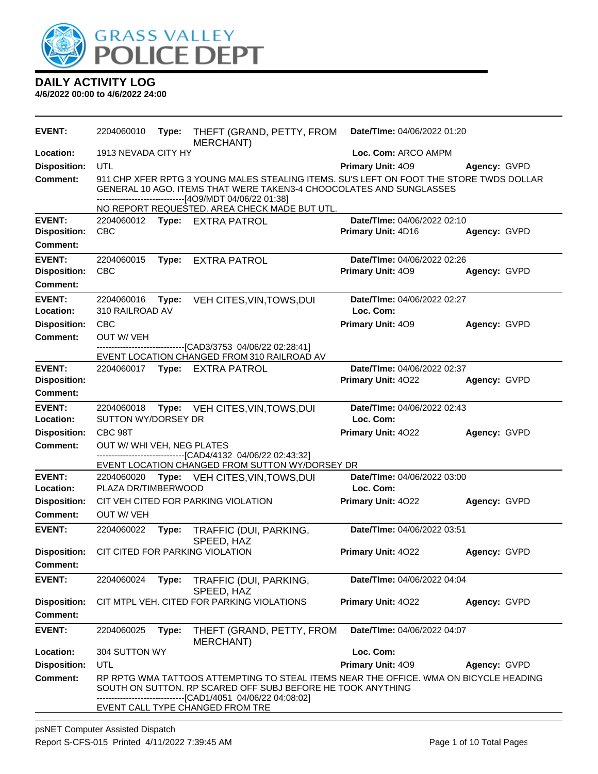

| <b>EVENT:</b>                                           | 2204060010                        | Type: | THEFT (GRAND, PETTY, FROM<br>MERCHANT)                                                                                                                                                                                   | Date/TIme: 04/06/2022 01:20                       |              |
|---------------------------------------------------------|-----------------------------------|-------|--------------------------------------------------------------------------------------------------------------------------------------------------------------------------------------------------------------------------|---------------------------------------------------|--------------|
| Location:                                               | 1913 NEVADA CITY HY               |       |                                                                                                                                                                                                                          | Loc. Com: ARCO AMPM                               |              |
| <b>Disposition:</b>                                     | UTL                               |       |                                                                                                                                                                                                                          | Primary Unit: 409                                 | Agency: GVPD |
| <b>Comment:</b>                                         |                                   |       | 911 CHP XFER RPTG 3 YOUNG MALES STEALING ITEMS. SU'S LEFT ON FOOT THE STORE TWDS DOLLAR<br>GENERAL 10 AGO. ITEMS THAT WERE TAKEN3-4 CHOOCOLATES AND SUNGLASSES<br>------------------------------[4O9/MDT 04/06/22 01:38] |                                                   |              |
|                                                         |                                   |       | NO REPORT REQUESTED. AREA CHECK MADE BUT UTL.                                                                                                                                                                            |                                                   |              |
| <b>EVENT:</b><br><b>Disposition:</b><br><b>Comment:</b> | <b>CBC</b>                        |       | 2204060012 Type: EXTRA PATROL                                                                                                                                                                                            | Date/TIme: 04/06/2022 02:10<br>Primary Unit: 4D16 | Agency: GVPD |
| <b>EVENT:</b>                                           |                                   |       |                                                                                                                                                                                                                          |                                                   |              |
| <b>Disposition:</b><br><b>Comment:</b>                  | 2204060015<br><b>CBC</b>          | Type: | <b>EXTRA PATROL</b>                                                                                                                                                                                                      | Date/TIme: 04/06/2022 02:26<br>Primary Unit: 409  | Agency: GVPD |
| <b>EVENT:</b><br>Location:                              | 2204060016<br>310 RAILROAD AV     | Type: | VEH CITES, VIN, TOWS, DUI                                                                                                                                                                                                | Date/TIme: 04/06/2022 02:27<br>Loc. Com:          |              |
| <b>Disposition:</b><br><b>Comment:</b>                  | <b>CBC</b><br><b>OUT W/ VEH</b>   |       |                                                                                                                                                                                                                          | Primary Unit: 409                                 | Agency: GVPD |
|                                                         |                                   |       | -----------------[CAD3/3753 04/06/22 02:28:41]<br>EVENT LOCATION CHANGED FROM 310 RAILROAD AV                                                                                                                            |                                                   |              |
| <b>EVENT:</b><br><b>Disposition:</b><br><b>Comment:</b> |                                   |       | 2204060017 Type: EXTRA PATROL                                                                                                                                                                                            | Date/TIme: 04/06/2022 02:37<br>Primary Unit: 4022 | Agency: GVPD |
|                                                         |                                   |       |                                                                                                                                                                                                                          |                                                   |              |
| <b>EVENT:</b><br>Location:                              | 2204060018<br>SUTTON WY/DORSEY DR | Type: | VEH CITES, VIN, TOWS, DUI                                                                                                                                                                                                | Date/TIme: 04/06/2022 02:43<br>Loc. Com:          |              |
| <b>Disposition:</b>                                     | CBC 98T                           |       |                                                                                                                                                                                                                          | Primary Unit: 4022                                | Agency: GVPD |
| <b>Comment:</b>                                         | OUT W/ WHI VEH, NEG PLATES        |       | ---------------------[CAD4/4132 04/06/22 02:43:32]                                                                                                                                                                       |                                                   |              |
|                                                         |                                   |       | EVENT LOCATION CHANGED FROM SUTTON WY/DORSEY DR                                                                                                                                                                          |                                                   |              |
| <b>EVENT:</b><br>Location:                              | 2204060020<br>PLAZA DR/TIMBERWOOD |       | Type: VEH CITES, VIN, TOWS, DUI                                                                                                                                                                                          | Date/TIme: 04/06/2022 03:00<br>Loc. Com:          |              |
| <b>Disposition:</b>                                     |                                   |       | CIT VEH CITED FOR PARKING VIOLATION                                                                                                                                                                                      | <b>Primary Unit: 4022</b>                         | Agency: GVPD |
| <b>Comment:</b>                                         | <b>OUT W/ VEH</b>                 |       |                                                                                                                                                                                                                          |                                                   |              |
| <b>EVENT:</b>                                           | 2204060022                        | Type: | TRAFFIC (DUI, PARKING,<br>SPEED, HAZ                                                                                                                                                                                     | Date/TIme: 04/06/2022 03:51                       |              |
| <b>Disposition:</b>                                     |                                   |       | CIT CITED FOR PARKING VIOLATION                                                                                                                                                                                          | Primary Unit: 4022                                | Agency: GVPD |
| <b>Comment:</b>                                         |                                   |       |                                                                                                                                                                                                                          |                                                   |              |
| <b>EVENT:</b>                                           | 2204060024                        | Type: | TRAFFIC (DUI, PARKING,<br>SPEED, HAZ                                                                                                                                                                                     | Date/TIme: 04/06/2022 04:04                       |              |
| <b>Disposition:</b><br><b>Comment:</b>                  |                                   |       | CIT MTPL VEH. CITED FOR PARKING VIOLATIONS                                                                                                                                                                               | Primary Unit: 4022                                | Agency: GVPD |
| <b>EVENT:</b>                                           | 2204060025                        | Type: | THEFT (GRAND, PETTY, FROM<br><b>MERCHANT)</b>                                                                                                                                                                            | Date/TIme: 04/06/2022 04:07                       |              |
| Location:                                               | 304 SUTTON WY                     |       |                                                                                                                                                                                                                          | Loc. Com:                                         |              |
| <b>Disposition:</b>                                     | UTL                               |       |                                                                                                                                                                                                                          | Primary Unit: 409                                 | Agency: GVPD |
| Comment:                                                |                                   |       | RP RPTG WMA TATTOOS ATTEMPTING TO STEAL ITEMS NEAR THE OFFICE. WMA ON BICYCLE HEADING<br>SOUTH ON SUTTON. RP SCARED OFF SUBJ BEFORE HE TOOK ANYTHING                                                                     |                                                   |              |
|                                                         |                                   |       | --[CAD1/4051 04/06/22 04:08:02]<br>EVENT CALL TYPE CHANGED FROM TRE                                                                                                                                                      |                                                   |              |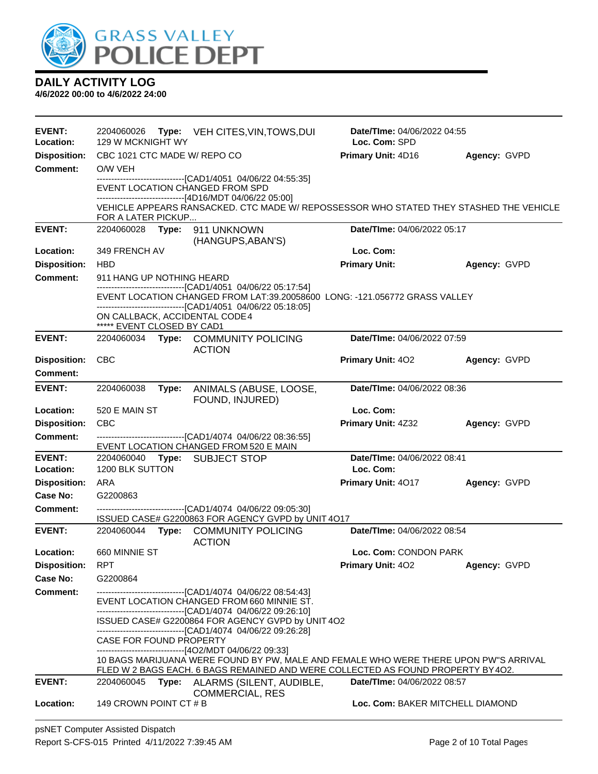

| <b>EVENT:</b><br>Location:              | 2204060026<br>129 W MCKNIGHT WY                              | Type: VEH CITES, VIN, TOWS, DUI                                                                                                                                                                                                      | <b>Date/TIme: 04/06/2022 04:55</b><br>Loc. Com: SPD |              |
|-----------------------------------------|--------------------------------------------------------------|--------------------------------------------------------------------------------------------------------------------------------------------------------------------------------------------------------------------------------------|-----------------------------------------------------|--------------|
| <b>Disposition:</b>                     | CBC 1021 CTC MADE W/ REPO CO                                 |                                                                                                                                                                                                                                      | Primary Unit: 4D16                                  | Agency: GVPD |
| <b>Comment:</b>                         | O/W VEH                                                      |                                                                                                                                                                                                                                      |                                                     |              |
|                                         | EVENT LOCATION CHANGED FROM SPD                              | -------------------------------[CAD1/4051 04/06/22 04:55:35]                                                                                                                                                                         |                                                     |              |
|                                         | FOR A LATER PICKUP                                           | -------------------------------[4D16/MDT 04/06/22 05:00]<br>VEHICLE APPEARS RANSACKED. CTC MADE W/ REPOSSESSOR WHO STATED THEY STASHED THE VEHICLE                                                                                   |                                                     |              |
| <b>EVENT:</b>                           | 2204060028                                                   | Type: 911 UNKNOWN<br>(HANGUPS, ABAN'S)                                                                                                                                                                                               | Date/TIme: 04/06/2022 05:17                         |              |
| Location:                               | 349 FRENCH AV                                                |                                                                                                                                                                                                                                      | Loc. Com:                                           |              |
| <b>Disposition:</b>                     | <b>HBD</b>                                                   |                                                                                                                                                                                                                                      | <b>Primary Unit:</b>                                | Agency: GVPD |
| <b>Comment:</b>                         | 911 HANG UP NOTHING HEARD                                    |                                                                                                                                                                                                                                      |                                                     |              |
|                                         |                                                              | -------------------------------[CAD1/4051 04/06/22 05:17:54]<br>EVENT LOCATION CHANGED FROM LAT:39.20058600 LONG: -121.056772 GRASS VALLEY                                                                                           |                                                     |              |
|                                         |                                                              | ------------------------------[CAD1/4051 04/06/22 05:18:05]                                                                                                                                                                          |                                                     |              |
|                                         | ON CALLBACK, ACCIDENTAL CODE 4<br>***** EVENT CLOSED BY CAD1 |                                                                                                                                                                                                                                      |                                                     |              |
| <b>EVENT:</b>                           |                                                              | 2204060034 Type: COMMUNITY POLICING<br><b>ACTION</b>                                                                                                                                                                                 | Date/TIme: 04/06/2022 07:59                         |              |
| <b>Disposition:</b>                     | <b>CBC</b>                                                   |                                                                                                                                                                                                                                      | <b>Primary Unit: 402</b>                            | Agency: GVPD |
| <b>Comment:</b>                         |                                                              |                                                                                                                                                                                                                                      |                                                     |              |
| <b>EVENT:</b>                           | 2204060038<br>Type:                                          | ANIMALS (ABUSE, LOOSE,<br>FOUND, INJURED)                                                                                                                                                                                            | Date/TIme: 04/06/2022 08:36                         |              |
| Location:                               | 520 E MAIN ST                                                |                                                                                                                                                                                                                                      | Loc. Com:                                           |              |
| <b>Disposition:</b>                     | <b>CBC</b>                                                   |                                                                                                                                                                                                                                      | Primary Unit: 4Z32                                  | Agency: GVPD |
| <b>Comment:</b>                         |                                                              | -------------------------------[CAD1/4074 04/06/22 08:36:55]<br>EVENT LOCATION CHANGED FROM 520 E MAIN                                                                                                                               |                                                     |              |
| <b>EVENT:</b>                           | 2204060040                                                   | Type: SUBJECT STOP                                                                                                                                                                                                                   | Date/TIme: 04/06/2022 08:41                         |              |
| <b>Location:</b><br><b>Disposition:</b> | 1200 BLK SUTTON                                              |                                                                                                                                                                                                                                      | Loc. Com:                                           |              |
| Case No:                                | ARA<br>G2200863                                              |                                                                                                                                                                                                                                      | Primary Unit: 4017                                  | Agency: GVPD |
| <b>Comment:</b>                         |                                                              | -------------------------------[CAD1/4074 04/06/22 09:05:30]                                                                                                                                                                         |                                                     |              |
|                                         |                                                              | ISSUED CASE# G2200863 FOR AGENCY GVPD by UNIT 4O17                                                                                                                                                                                   |                                                     |              |
| <b>EVENT:</b>                           | 2204060044                                                   | Type: COMMUNITY POLICING<br><b>ACTION</b>                                                                                                                                                                                            | Date/TIme: 04/06/2022 08:54                         |              |
| <b>Location:</b>                        | 660 MINNIE ST                                                |                                                                                                                                                                                                                                      | Loc. Com: CONDON PARK                               |              |
| <b>Disposition:</b>                     | <b>RPT</b>                                                   |                                                                                                                                                                                                                                      | Primary Unit: 402                                   | Agency: GVPD |
| <b>Case No:</b>                         | G2200864                                                     |                                                                                                                                                                                                                                      |                                                     |              |
| <b>Comment:</b>                         |                                                              | -----------------------------[CAD1/4074 04/06/22 08:54:43]<br>EVENT LOCATION CHANGED FROM 660 MINNIE ST.<br>-------------------------------[CAD1/4074 04/06/22 09:26:10]                                                             |                                                     |              |
|                                         |                                                              | ISSUED CASE# G2200864 FOR AGENCY GVPD by UNIT 4O2                                                                                                                                                                                    |                                                     |              |
|                                         | CASE FOR FOUND PROPERTY                                      | ------------------------------[CAD1/4074 04/06/22 09:26:28]                                                                                                                                                                          |                                                     |              |
|                                         |                                                              | --------------------------------[4O2/MDT 04/06/22 09:33]<br>10 BAGS MARIJUANA WERE FOUND BY PW, MALE AND FEMALE WHO WERE THERE UPON PW"S ARRIVAL<br>FLED W 2 BAGS EACH. 6 BAGS REMAINED AND WERE COLLECTED AS FOUND PROPERTY BY 402. |                                                     |              |
| <b>EVENT:</b>                           | 2204060045                                                   | Type: ALARMS (SILENT, AUDIBLE,                                                                                                                                                                                                       | Date/TIme: 04/06/2022 08:57                         |              |
| Location:                               | 149 CROWN POINT CT # B                                       | <b>COMMERCIAL, RES</b>                                                                                                                                                                                                               | Loc. Com: BAKER MITCHELL DIAMOND                    |              |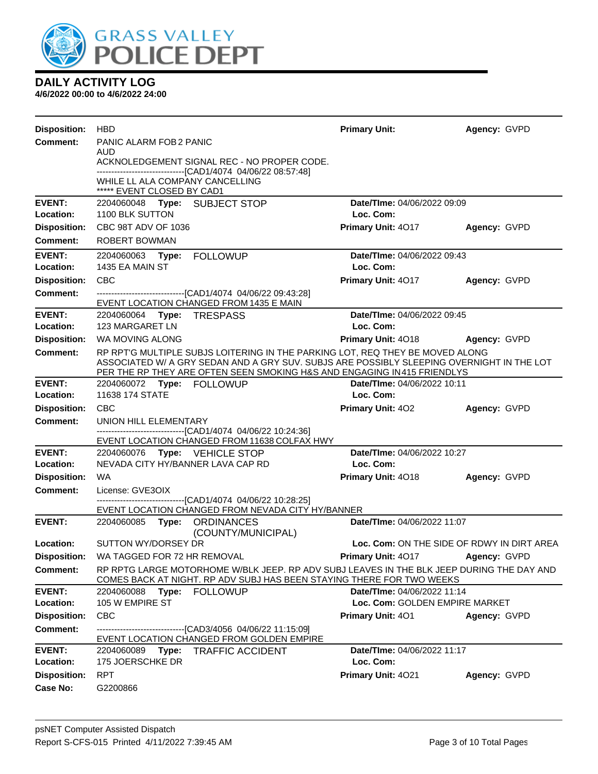

| <b>Disposition:</b> | <b>HBD</b>                                                                                                                                                           | <b>Primary Unit:</b>                       | Agency: GVPD |
|---------------------|----------------------------------------------------------------------------------------------------------------------------------------------------------------------|--------------------------------------------|--------------|
| <b>Comment:</b>     | PANIC ALARM FOB 2 PANIC                                                                                                                                              |                                            |              |
|                     | AUD<br>ACKNOLEDGEMENT SIGNAL REC - NO PROPER CODE.                                                                                                                   |                                            |              |
|                     | ------------------------------[CAD1/4074 04/06/22 08:57:48]                                                                                                          |                                            |              |
|                     | WHILE LL ALA COMPANY CANCELLING<br>***** EVENT CLOSED BY CAD1                                                                                                        |                                            |              |
| <b>EVENT:</b>       | 2204060048 Type: SUBJECT STOP                                                                                                                                        | Date/TIme: 04/06/2022 09:09                |              |
| Location:           | 1100 BLK SUTTON                                                                                                                                                      | Loc. Com:                                  |              |
| <b>Disposition:</b> | CBC 98T ADV OF 1036                                                                                                                                                  | <b>Primary Unit: 4017</b>                  | Agency: GVPD |
| <b>Comment:</b>     | <b>ROBERT BOWMAN</b>                                                                                                                                                 |                                            |              |
| <b>EVENT:</b>       | 2204060063<br>Type:<br><b>FOLLOWUP</b>                                                                                                                               | Date/TIme: 04/06/2022 09:43                |              |
| Location:           | 1435 EA MAIN ST                                                                                                                                                      | Loc. Com:                                  |              |
| <b>Disposition:</b> | <b>CBC</b>                                                                                                                                                           | Primary Unit: 4017                         | Agency: GVPD |
| Comment:            | --------------------------------[CAD1/4074 04/06/22 09:43:28]<br>EVENT LOCATION CHANGED FROM 1435 E MAIN                                                             |                                            |              |
| <b>EVENT:</b>       | Type: TRESPASS<br>2204060064                                                                                                                                         | Date/TIme: 04/06/2022 09:45                |              |
| Location:           | 123 MARGARET LN                                                                                                                                                      | Loc. Com:                                  |              |
| <b>Disposition:</b> | WA MOVING ALONG                                                                                                                                                      | Primary Unit: 4018                         | Agency: GVPD |
| Comment:            | RP RPT'G MULTIPLE SUBJS LOITERING IN THE PARKING LOT, REQ THEY BE MOVED ALONG                                                                                        |                                            |              |
|                     | ASSOCIATED W/ A GRY SEDAN AND A GRY SUV. SUBJS ARE POSSIBLY SLEEPING OVERNIGHT IN THE LOT<br>PER THE RP THEY ARE OFTEN SEEN SMOKING H&S AND ENGAGING IN415 FRIENDLYS |                                            |              |
| <b>EVENT:</b>       | 2204060072 Type: FOLLOWUP                                                                                                                                            | Date/Time: 04/06/2022 10:11                |              |
| Location:           | 11638 174 STATE                                                                                                                                                      | Loc. Com:                                  |              |
| <b>Disposition:</b> | <b>CBC</b>                                                                                                                                                           | <b>Primary Unit: 402</b>                   | Agency: GVPD |
| <b>Comment:</b>     | UNION HILL ELEMENTARY                                                                                                                                                |                                            |              |
|                     | -------------------------------[CAD1/4074_04/06/22 10:24:36]<br>EVENT LOCATION CHANGED FROM 11638 COLFAX HWY                                                         |                                            |              |
| <b>EVENT:</b>       | 2204060076 Type: VEHICLE STOP                                                                                                                                        | Date/TIme: 04/06/2022 10:27                |              |
| Location:           | NEVADA CITY HY/BANNER LAVA CAP RD                                                                                                                                    | Loc. Com:                                  |              |
| <b>Disposition:</b> | WA                                                                                                                                                                   | Primary Unit: 4018                         | Agency: GVPD |
| <b>Comment:</b>     | License: GVE3OIX                                                                                                                                                     |                                            |              |
|                     | -------------------------------[CAD1/4074_04/06/22 10:28:25]<br>EVENT LOCATION CHANGED FROM NEVADA CITY HY/BANNER                                                    |                                            |              |
| <b>EVENT:</b>       | 2204060085<br><b>Type: ORDINANCES</b>                                                                                                                                | Date/TIme: 04/06/2022 11:07                |              |
|                     | (COUNTY/MUNICIPAL)                                                                                                                                                   |                                            |              |
| Location:           | <b>SUTTON WY/DORSEY DR</b>                                                                                                                                           | Loc. Com: ON THE SIDE OF RDWY IN DIRT AREA |              |
|                     | Disposition: WA TAGGED FOR 72 HR REMOVAL<br>RP RPTG LARGE MOTORHOME W/BLK JEEP. RP ADV SUBJ LEAVES IN THE BLK JEEP DURING THE DAY AND                                | <b>Primary Unit: 4017 Agency: GVPD</b>     |              |
| Comment:            | COMES BACK AT NIGHT. RP ADV SUBJ HAS BEEN STAYING THERE FOR TWO WEEKS                                                                                                |                                            |              |
| <b>EVENT:</b>       | 2204060088<br>Type: FOLLOWUP                                                                                                                                         | Date/TIme: 04/06/2022 11:14                |              |
| Location:           | 105 W EMPIRE ST                                                                                                                                                      | Loc. Com: GOLDEN EMPIRE MARKET             |              |
| <b>Disposition:</b> | <b>CBC</b>                                                                                                                                                           | <b>Primary Unit: 401</b>                   | Agency: GVPD |
| <b>Comment:</b>     | ---------------------------------[CAD3/4056 04/06/22 11:15:09]<br>EVENT LOCATION CHANGED FROM GOLDEN EMPIRE                                                          |                                            |              |
| <b>EVENT:</b>       | 2204060089<br>Type: TRAFFIC ACCIDENT                                                                                                                                 | Date/TIme: 04/06/2022 11:17                |              |
| Location:           | 175 JOERSCHKE DR                                                                                                                                                     | Loc. Com:                                  |              |
| <b>Disposition:</b> | <b>RPT</b>                                                                                                                                                           | Primary Unit: 4021                         | Agency: GVPD |
| Case No:            | G2200866                                                                                                                                                             |                                            |              |
|                     |                                                                                                                                                                      |                                            |              |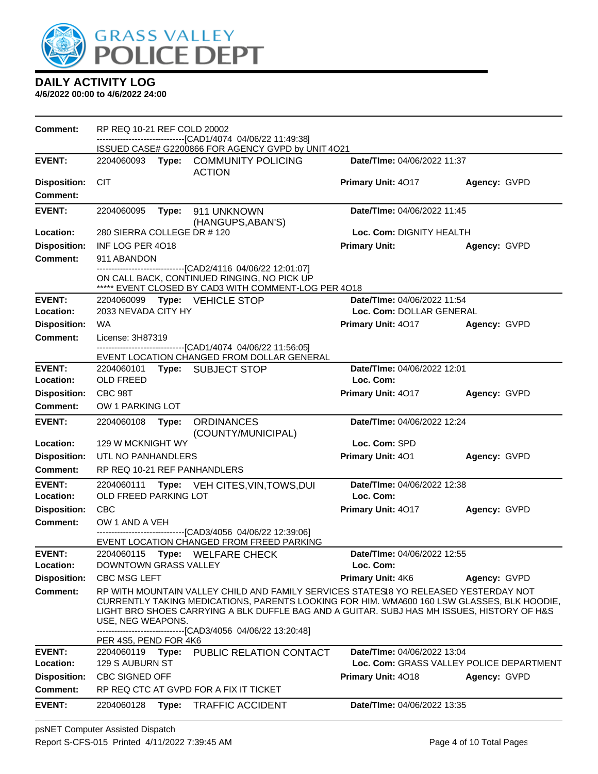

| Comment:                               | RP REQ 10-21 REF COLD 20002         |       | ------------------------------[CAD1/4074_04/06/22 11:49:38]<br>ISSUED CASE# G2200866 FOR AGENCY GVPD by UNIT 4O21                                                                                                                                                                                                                                |                                                 |                                          |
|----------------------------------------|-------------------------------------|-------|--------------------------------------------------------------------------------------------------------------------------------------------------------------------------------------------------------------------------------------------------------------------------------------------------------------------------------------------------|-------------------------------------------------|------------------------------------------|
| <b>EVENT:</b>                          |                                     |       | 2204060093 Type: COMMUNITY POLICING<br><b>ACTION</b>                                                                                                                                                                                                                                                                                             | Date/TIme: 04/06/2022 11:37                     |                                          |
| <b>Disposition:</b><br><b>Comment:</b> | <b>CIT</b>                          |       |                                                                                                                                                                                                                                                                                                                                                  | <b>Primary Unit: 4017</b>                       | Agency: GVPD                             |
| <b>EVENT:</b>                          | 2204060095                          | Type: | 911 UNKNOWN<br>(HANGUPS, ABAN'S)                                                                                                                                                                                                                                                                                                                 | Date/TIme: 04/06/2022 11:45                     |                                          |
| Location:                              | 280 SIERRA COLLEGE DR #120          |       |                                                                                                                                                                                                                                                                                                                                                  | Loc. Com: DIGNITY HEALTH                        |                                          |
| <b>Disposition:</b>                    | INF LOG PER 4018                    |       |                                                                                                                                                                                                                                                                                                                                                  | <b>Primary Unit:</b>                            | Agency: GVPD                             |
| Comment:                               | 911 ABANDON                         |       |                                                                                                                                                                                                                                                                                                                                                  |                                                 |                                          |
|                                        |                                     |       | ----------------------------------[CAD2/4116 04/06/22 12:01:07]<br>ON CALL BACK, CONTINUED RINGING, NO PICK UP<br>***** EVENT CLOSED BY CAD3 WITH COMMENT-LOG PER 4018                                                                                                                                                                           |                                                 |                                          |
| <b>EVENT:</b>                          |                                     |       | 2204060099 Type: VEHICLE STOP                                                                                                                                                                                                                                                                                                                    | Date/TIme: 04/06/2022 11:54                     |                                          |
| Location:                              | 2033 NEVADA CITY HY                 |       |                                                                                                                                                                                                                                                                                                                                                  | Loc. Com: DOLLAR GENERAL                        |                                          |
| <b>Disposition:</b>                    | <b>WA</b>                           |       |                                                                                                                                                                                                                                                                                                                                                  | <b>Primary Unit: 4017</b>                       | Agency: GVPD                             |
| <b>Comment:</b>                        | License: 3H87319                    |       | -----------------------[CAD1/4074 04/06/22 11:56:05]                                                                                                                                                                                                                                                                                             |                                                 |                                          |
|                                        |                                     |       | EVENT LOCATION CHANGED FROM DOLLAR GENERAL                                                                                                                                                                                                                                                                                                       |                                                 |                                          |
| <b>EVENT:</b><br>Location:             | <b>OLD FREED</b>                    |       | 2204060101 Type: SUBJECT STOP                                                                                                                                                                                                                                                                                                                    | Date/TIme: 04/06/2022 12:01<br>Loc. Com:        |                                          |
| <b>Disposition:</b>                    | CBC 98T                             |       |                                                                                                                                                                                                                                                                                                                                                  | Primary Unit: 4017                              | Agency: GVPD                             |
| Comment:                               | OW 1 PARKING LOT                    |       |                                                                                                                                                                                                                                                                                                                                                  |                                                 |                                          |
| <b>EVENT:</b>                          | 2204060108                          | Type: | <b>ORDINANCES</b><br>(COUNTY/MUNICIPAL)                                                                                                                                                                                                                                                                                                          | Date/TIme: 04/06/2022 12:24                     |                                          |
| Location:                              | 129 W MCKNIGHT WY                   |       |                                                                                                                                                                                                                                                                                                                                                  | Loc. Com: SPD                                   |                                          |
| <b>Disposition:</b>                    | UTL NO PANHANDLERS                  |       |                                                                                                                                                                                                                                                                                                                                                  | Primary Unit: 401                               | Agency: GVPD                             |
| <b>Comment:</b>                        |                                     |       | RP REQ 10-21 REF PANHANDLERS                                                                                                                                                                                                                                                                                                                     |                                                 |                                          |
| <b>EVENT:</b><br>Location:             | 2204060111<br>OLD FREED PARKING LOT |       | Type: VEH CITES, VIN, TOWS, DUI                                                                                                                                                                                                                                                                                                                  | <b>Date/Time: 04/06/2022 12:38</b><br>Loc. Com: |                                          |
| <b>Disposition:</b>                    | <b>CBC</b>                          |       |                                                                                                                                                                                                                                                                                                                                                  | Primary Unit: 4017                              | Agency: GVPD                             |
| <b>Comment:</b>                        | OW 1 AND A VEH                      |       |                                                                                                                                                                                                                                                                                                                                                  |                                                 |                                          |
|                                        |                                     |       | -------------------[CAD3/4056 04/06/22 12:39:06]<br>EVENT LOCATION CHANGED FROM FREED PARKING                                                                                                                                                                                                                                                    |                                                 |                                          |
| <b>EVENT:</b><br>Location:             | DOWNTOWN GRASS VALLEY               |       | 2204060115 Type: WELFARE CHECK                                                                                                                                                                                                                                                                                                                   | Date/TIme: 04/06/2022 12:55<br>Loc. Com:        |                                          |
| <b>Disposition:</b>                    | <b>CBC MSG LEFT</b>                 |       |                                                                                                                                                                                                                                                                                                                                                  | Primary Unit: 4K6                               | Agency: GVPD                             |
| <b>Comment:</b>                        | USE, NEG WEAPONS.                   |       | RP WITH MOUNTAIN VALLEY CHILD AND FAMILY SERVICES STATES 18 YO RELEASED YESTERDAY NOT<br>CURRENTLY TAKING MEDICATIONS, PARENTS LOOKING FOR HIM. WMA600 160 LSW GLASSES, BLK HOODIE,<br>LIGHT BRO SHOES CARRYING A BLK DUFFLE BAG AND A GUITAR. SUBJ HAS MH ISSUES, HISTORY OF H&S<br>------------------------------[CAD3/4056 04/06/22 13:20:48] |                                                 |                                          |
|                                        | PER 4S5, PEND FOR 4K6               |       |                                                                                                                                                                                                                                                                                                                                                  |                                                 |                                          |
| <b>EVENT:</b><br>Location:             | 129 S AUBURN ST                     |       | 2204060119 Type: PUBLIC RELATION CONTACT                                                                                                                                                                                                                                                                                                         | Date/TIme: 04/06/2022 13:04                     | Loc. Com: GRASS VALLEY POLICE DEPARTMENT |
| <b>Disposition:</b>                    | <b>CBC SIGNED OFF</b>               |       |                                                                                                                                                                                                                                                                                                                                                  | Primary Unit: 4018                              | Agency: GVPD                             |
| <b>Comment:</b>                        |                                     |       | RP REQ CTC AT GVPD FOR A FIX IT TICKET                                                                                                                                                                                                                                                                                                           |                                                 |                                          |
| <b>EVENT:</b>                          | 2204060128                          | Type: | <b>TRAFFIC ACCIDENT</b>                                                                                                                                                                                                                                                                                                                          | Date/TIme: 04/06/2022 13:35                     |                                          |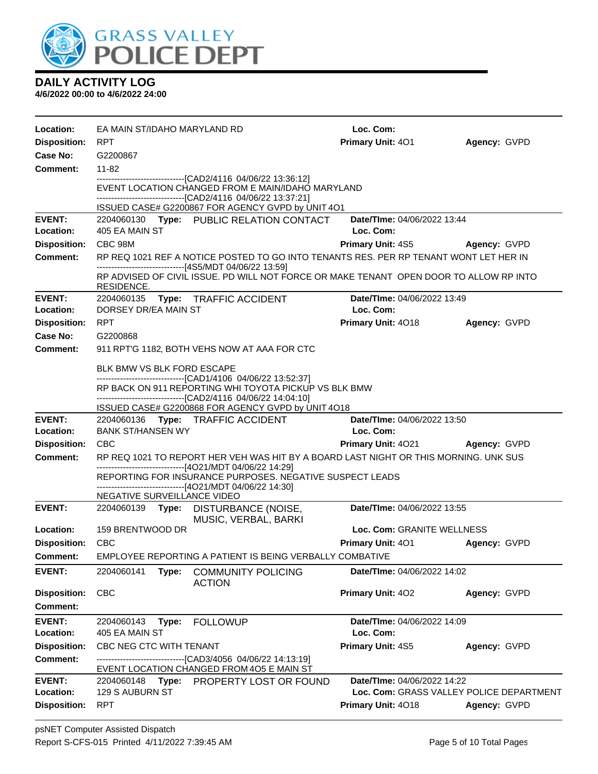

| Location:                              | EA MAIN ST/IDAHO MARYLAND RD |                                                                                                                      | Loc. Com:                                |              |
|----------------------------------------|------------------------------|----------------------------------------------------------------------------------------------------------------------|------------------------------------------|--------------|
| <b>Disposition:</b>                    | RPT                          |                                                                                                                      | Primary Unit: 401                        | Agency: GVPD |
| Case No:                               | G2200867                     |                                                                                                                      |                                          |              |
| <b>Comment:</b>                        | 11-82                        |                                                                                                                      |                                          |              |
|                                        |                              | -------------------------------[CAD2/4116 04/06/22 13:36:12]<br>EVENT LOCATION CHANGED FROM E MAIN/IDAHO MARYLAND    |                                          |              |
|                                        |                              | --------------------------------[CAD2/4116 04/06/22 13:37:21]                                                        |                                          |              |
|                                        |                              | ISSUED CASE# G2200867 FOR AGENCY GVPD by UNIT 4O1                                                                    |                                          |              |
| <b>EVENT:</b><br>Location:             | 405 EA MAIN ST               | 2204060130 Type: PUBLIC RELATION CONTACT                                                                             | Date/TIme: 04/06/2022 13:44<br>Loc. Com: |              |
| <b>Disposition:</b>                    | CBC 98M                      |                                                                                                                      | <b>Primary Unit: 4S5</b>                 | Agency: GVPD |
| <b>Comment:</b>                        |                              | RP REQ 1021 REF A NOTICE POSTED TO GO INTO TENANTS RES. PER RP TENANT WONT LET HER IN                                |                                          |              |
|                                        |                              | -------------------------------[4S5/MDT 04/06/22 13:59]                                                              |                                          |              |
|                                        | RESIDENCE.                   | RP ADVISED OF CIVIL ISSUE. PD WILL NOT FORCE OR MAKE TENANT OPEN DOOR TO ALLOW RP INTO                               |                                          |              |
| <b>EVENT:</b>                          |                              | 2204060135 Type: TRAFFIC ACCIDENT                                                                                    | Date/TIme: 04/06/2022 13:49              |              |
| Location:                              | DORSEY DR/EA MAIN ST         |                                                                                                                      | Loc. Com:                                |              |
| <b>Disposition:</b>                    | <b>RPT</b>                   |                                                                                                                      | Primary Unit: 4018                       | Agency: GVPD |
| <b>Case No:</b>                        | G2200868                     |                                                                                                                      |                                          |              |
| <b>Comment:</b>                        |                              | 911 RPT'G 1182, BOTH VEHS NOW AT AAA FOR CTC                                                                         |                                          |              |
|                                        | BLK BMW VS BLK FORD ESCAPE   |                                                                                                                      |                                          |              |
|                                        |                              | ------------------------------[CAD1/4106 04/06/22 13:52:37]<br>RP BACK ON 911 REPORTING WHI TOYOTA PICKUP VS BLK BMW |                                          |              |
|                                        |                              | -------------------------------[CAD2/4116 04/06/22 14:04:10]                                                         |                                          |              |
| <b>EVENT:</b>                          |                              | ISSUED CASE# G2200868 FOR AGENCY GVPD by UNIT 4O18                                                                   | Date/TIme: 04/06/2022 13:50              |              |
| Location:                              | <b>BANK ST/HANSEN WY</b>     | 2204060136 Type: TRAFFIC ACCIDENT                                                                                    | Loc. Com:                                |              |
| <b>Disposition:</b>                    | <b>CBC</b>                   |                                                                                                                      | Primary Unit: 4021 Agency: GVPD          |              |
| <b>Comment:</b>                        |                              | RP REQ 1021 TO REPORT HER VEH WAS HIT BY A BOARD LAST NIGHT OR THIS MORNING. UNK SUS                                 |                                          |              |
|                                        |                              | -------------------------------[4O21/MDT 04/06/22 14:29]                                                             |                                          |              |
|                                        |                              | REPORTING FOR INSURANCE PURPOSES. NEGATIVE SUSPECT LEADS<br>---------------------[4O21/MDT 04/06/22 14:30]           |                                          |              |
|                                        | NEGATIVE SURVEILLANCE VIDEO  |                                                                                                                      |                                          |              |
| <b>EVENT:</b>                          |                              | 2204060139 Type: DISTURBANCE (NOISE,                                                                                 | Date/TIme: 04/06/2022 13:55              |              |
| Location:                              | 159 BRENTWOOD DR             | MUSIC, VERBAL, BARKI                                                                                                 | Loc. Com: GRANITE WELLNESS               |              |
| <b>Disposition:</b>                    | <b>CBC</b>                   |                                                                                                                      | <b>Primary Unit: 401</b>                 | Agency: GVPD |
| <b>Comment:</b>                        |                              | EMPLOYEE REPORTING A PATIENT IS BEING VERBALLY COMBATIVE                                                             |                                          |              |
| <b>EVENT:</b>                          | 2204060141<br>Type:          | <b>COMMUNITY POLICING</b>                                                                                            | Date/TIme: 04/06/2022 14:02              |              |
|                                        |                              | <b>ACTION</b>                                                                                                        |                                          |              |
| <b>Disposition:</b>                    | <b>CBC</b>                   |                                                                                                                      | Primary Unit: 402                        | Agency: GVPD |
| <b>Comment:</b>                        |                              |                                                                                                                      |                                          |              |
| <b>EVENT:</b>                          | 2204060143<br>Type:          | <b>FOLLOWUP</b>                                                                                                      | Date/TIme: 04/06/2022 14:09              |              |
| Location:                              | 405 EA MAIN ST               |                                                                                                                      | Loc. Com:                                |              |
| <b>Disposition:</b><br><b>Comment:</b> | CBC NEG CTC WITH TENANT      | --------------------------[CAD3/4056_04/06/22 14:13:19]                                                              | Primary Unit: 4S5                        | Agency: GVPD |
|                                        |                              | EVENT LOCATION CHANGED FROM 405 E MAIN ST                                                                            |                                          |              |
| <b>EVENT:</b>                          |                              | 2204060148 Type: PROPERTY LOST OR FOUND                                                                              | Date/TIme: 04/06/2022 14:22              |              |
| Location:                              | 129 S AUBURN ST              |                                                                                                                      | Loc. Com: GRASS VALLEY POLICE DEPARTMENT |              |
| <b>Disposition:</b>                    | <b>RPT</b>                   |                                                                                                                      | Primary Unit: 4018                       | Agency: GVPD |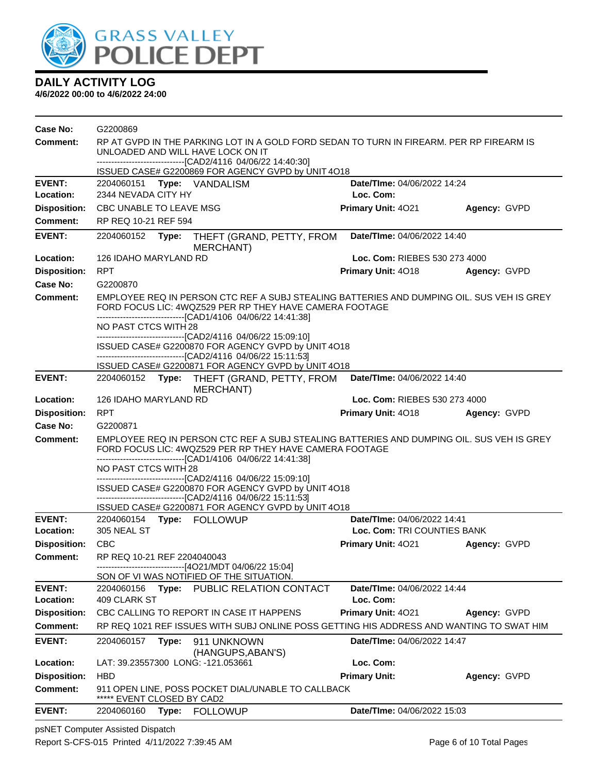

**4/6/2022 00:00 to 4/6/2022 24:00**

| Case No:                   | G2200869                                                                                                                      |       |                                                                                                                                                                                                                       |                                          |              |  |
|----------------------------|-------------------------------------------------------------------------------------------------------------------------------|-------|-----------------------------------------------------------------------------------------------------------------------------------------------------------------------------------------------------------------------|------------------------------------------|--------------|--|
| <b>Comment:</b>            | RP AT GVPD IN THE PARKING LOT IN A GOLD FORD SEDAN TO TURN IN FIREARM. PER RP FIREARM IS<br>UNLOADED AND WILL HAVE LOCK ON IT |       |                                                                                                                                                                                                                       |                                          |              |  |
|                            |                                                                                                                               |       | --------------------------------[CAD2/4116 04/06/22 14:40:30]                                                                                                                                                         |                                          |              |  |
|                            |                                                                                                                               |       | ISSUED CASE# G2200869 FOR AGENCY GVPD by UNIT 4018                                                                                                                                                                    |                                          |              |  |
| <b>EVENT:</b>              | 2204060151                                                                                                                    |       | Type: VANDALISM                                                                                                                                                                                                       | Date/TIme: 04/06/2022 14:24              |              |  |
| Location:                  | 2344 NEVADA CITY HY                                                                                                           |       |                                                                                                                                                                                                                       | Loc. Com:                                |              |  |
| <b>Disposition:</b>        | CBC UNABLE TO LEAVE MSG                                                                                                       |       |                                                                                                                                                                                                                       | Primary Unit: 4021                       | Agency: GVPD |  |
| <b>Comment:</b>            | RP REQ 10-21 REF 594                                                                                                          |       |                                                                                                                                                                                                                       |                                          |              |  |
| <b>EVENT:</b>              | Date/TIme: 04/06/2022 14:40<br>2204060152<br>Type:<br>THEFT (GRAND, PETTY, FROM<br>MERCHANT)                                  |       |                                                                                                                                                                                                                       |                                          |              |  |
| Location:                  | 126 IDAHO MARYLAND RD                                                                                                         |       |                                                                                                                                                                                                                       | Loc. Com: RIEBES 530 273 4000            |              |  |
| <b>Disposition:</b>        | <b>RPT</b>                                                                                                                    |       |                                                                                                                                                                                                                       | Primary Unit: 4018                       | Agency: GVPD |  |
| Case No:                   | G2200870                                                                                                                      |       |                                                                                                                                                                                                                       |                                          |              |  |
| <b>Comment:</b>            |                                                                                                                               |       | EMPLOYEE REQ IN PERSON CTC REF A SUBJ STEALING BATTERIES AND DUMPING OIL. SUS VEH IS GREY<br>FORD FOCUS LIC: 4WQZ529 PER RP THEY HAVE CAMERA FOOTAGE<br>--------------------------------[CAD1/4106 04/06/22 14:41:38] |                                          |              |  |
|                            | NO PAST CTCS WITH 28                                                                                                          |       | --------------------------------[CAD2/4116 04/06/22 15:09:10]                                                                                                                                                         |                                          |              |  |
|                            |                                                                                                                               |       | ISSUED CASE# G2200870 FOR AGENCY GVPD by UNIT 4O18<br>----------------------------------[CAD2/4116 04/06/22 15:11:53]                                                                                                 |                                          |              |  |
|                            |                                                                                                                               |       | ISSUED CASE# G2200871 FOR AGENCY GVPD by UNIT 4O18                                                                                                                                                                    |                                          |              |  |
| <b>EVENT:</b>              |                                                                                                                               |       | 2204060152 Type: THEFT (GRAND, PETTY, FROM<br>MERCHANT)                                                                                                                                                               | Date/TIme: 04/06/2022 14:40              |              |  |
| Location:                  | 126 IDAHO MARYLAND RD                                                                                                         |       |                                                                                                                                                                                                                       | Loc. Com: RIEBES 530 273 4000            |              |  |
| <b>Disposition:</b>        | <b>RPT</b>                                                                                                                    |       |                                                                                                                                                                                                                       | Primary Unit: 4018                       | Agency: GVPD |  |
| Case No:                   | G2200871                                                                                                                      |       |                                                                                                                                                                                                                       |                                          |              |  |
| <b>Comment:</b>            |                                                                                                                               |       | EMPLOYEE REQ IN PERSON CTC REF A SUBJ STEALING BATTERIES AND DUMPING OIL. SUS VEH IS GREY<br>FORD FOCUS LIC: 4WQZ529 PER RP THEY HAVE CAMERA FOOTAGE<br>-------------------------------[CAD1/4106 04/06/22 14:41:38]  |                                          |              |  |
|                            | NO PAST CTCS WITH 28                                                                                                          |       | -------------------------------[CAD2/4116 04/06/22 15:09:10]                                                                                                                                                          |                                          |              |  |
|                            |                                                                                                                               |       | ISSUED CASE# G2200870 FOR AGENCY GVPD by UNIT 4O18                                                                                                                                                                    |                                          |              |  |
|                            |                                                                                                                               |       | ----------------------------------[CAD2/4116 04/06/22 15:11:53]                                                                                                                                                       |                                          |              |  |
| <b>EVENT:</b>              |                                                                                                                               |       | ISSUED CASE# G2200871 FOR AGENCY GVPD by UNIT 4O18<br>2204060154 Type: FOLLOWUP                                                                                                                                       | Date/TIme: 04/06/2022 14:41              |              |  |
| Location:                  | 305 NEAL ST                                                                                                                   |       |                                                                                                                                                                                                                       | Loc. Com: TRI COUNTIES BANK              |              |  |
| <b>Disposition:</b>        | CBC                                                                                                                           |       |                                                                                                                                                                                                                       | <b>Primary Unit: 4021</b>                | Agency: GVPD |  |
| <b>Comment:</b>            | RP REQ 10-21 REF 2204040043                                                                                                   |       |                                                                                                                                                                                                                       |                                          |              |  |
|                            |                                                                                                                               |       | -------------------------------[4O21/MDT 04/06/22 15:04]                                                                                                                                                              |                                          |              |  |
|                            |                                                                                                                               |       | SON OF VI WAS NOTIFIED OF THE SITUATION.                                                                                                                                                                              |                                          |              |  |
| <b>EVENT:</b><br>Location: | 2204060156<br>409 CLARK ST                                                                                                    | Type: | PUBLIC RELATION CONTACT                                                                                                                                                                                               | Date/TIme: 04/06/2022 14:44<br>Loc. Com: |              |  |
| <b>Disposition:</b>        |                                                                                                                               |       | CBC CALLING TO REPORT IN CASE IT HAPPENS                                                                                                                                                                              | Primary Unit: 4021                       | Agency: GVPD |  |
| Comment:                   |                                                                                                                               |       | RP REQ 1021 REF ISSUES WITH SUBJ ONLINE POSS GETTING HIS ADDRESS AND WANTING TO SWAT HIM                                                                                                                              |                                          |              |  |
| <b>EVENT:</b>              | 2204060157                                                                                                                    | Type: | 911 UNKNOWN                                                                                                                                                                                                           | <b>Date/TIme: 04/06/2022 14:47</b>       |              |  |
|                            |                                                                                                                               |       | (HANGUPS, ABAN'S)                                                                                                                                                                                                     |                                          |              |  |
| Location:                  |                                                                                                                               |       | LAT: 39.23557300 LONG: -121.053661                                                                                                                                                                                    | Loc. Com:                                |              |  |
| <b>Disposition:</b>        | <b>HBD</b>                                                                                                                    |       |                                                                                                                                                                                                                       | <b>Primary Unit:</b>                     | Agency: GVPD |  |
| <b>Comment:</b>            | EVENT CLOSED BY CAD2                                                                                                          |       | 911 OPEN LINE, POSS POCKET DIAL/UNABLE TO CALLBACK                                                                                                                                                                    |                                          |              |  |
| <b>EVENT:</b>              | 2204060160                                                                                                                    |       | Type: FOLLOWUP                                                                                                                                                                                                        | Date/TIme: 04/06/2022 15:03              |              |  |

psNET Computer Assisted Dispatch Report S-CFS-015 Printed 4/11/2022 7:39:45 AM Page 6 of 10 Total Pages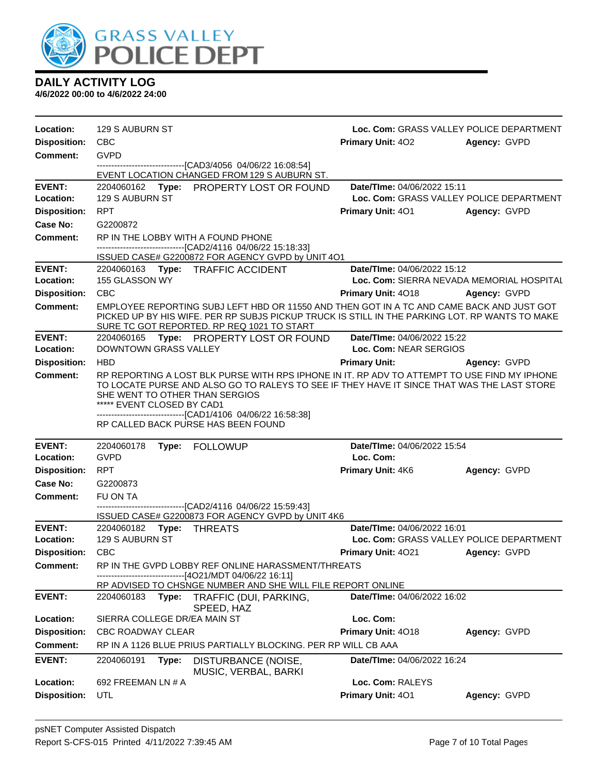

| Location:                  | 129 S AUBURN ST                                              |                                                                                                                                                                                                                                                                                                   |                                                       | Loc. Com: GRASS VALLEY POLICE DEPARTMENT |
|----------------------------|--------------------------------------------------------------|---------------------------------------------------------------------------------------------------------------------------------------------------------------------------------------------------------------------------------------------------------------------------------------------------|-------------------------------------------------------|------------------------------------------|
| <b>Disposition:</b>        | <b>CBC</b>                                                   |                                                                                                                                                                                                                                                                                                   | Primary Unit: 402                                     | Agency: GVPD                             |
| Comment:                   | <b>GVPD</b>                                                  |                                                                                                                                                                                                                                                                                                   |                                                       |                                          |
|                            |                                                              | ----------------------------------[CAD3/4056 04/06/22 16:08:54]<br>EVENT LOCATION CHANGED FROM 129 S AUBURN ST.                                                                                                                                                                                   |                                                       |                                          |
| <b>EVENT:</b>              |                                                              | 2204060162 Type: PROPERTY LOST OR FOUND                                                                                                                                                                                                                                                           | Date/TIme: 04/06/2022 15:11                           |                                          |
| Location:                  | 129 S AUBURN ST                                              |                                                                                                                                                                                                                                                                                                   |                                                       | Loc. Com: GRASS VALLEY POLICE DEPARTMENT |
| <b>Disposition:</b>        | <b>RPT</b>                                                   |                                                                                                                                                                                                                                                                                                   | <b>Primary Unit: 401</b>                              | Agency: GVPD                             |
| Case No:                   | G2200872                                                     |                                                                                                                                                                                                                                                                                                   |                                                       |                                          |
| Comment:                   |                                                              | RP IN THE LOBBY WITH A FOUND PHONE                                                                                                                                                                                                                                                                |                                                       |                                          |
|                            |                                                              | --------------------------------[CAD2/4116 04/06/22 15:18:33]<br>ISSUED CASE# G2200872 FOR AGENCY GVPD by UNIT 4O1                                                                                                                                                                                |                                                       |                                          |
| <b>EVENT:</b>              |                                                              | 2204060163 Type: TRAFFIC ACCIDENT                                                                                                                                                                                                                                                                 | Date/TIme: 04/06/2022 15:12                           |                                          |
| Location:                  | 155 GLASSON WY                                               |                                                                                                                                                                                                                                                                                                   | Loc. Com: SIERRA NEVADA MEMORIAL HOSPITAL             |                                          |
| <b>Disposition:</b>        | <b>CBC</b>                                                   |                                                                                                                                                                                                                                                                                                   | <b>Primary Unit: 4018</b>                             | Agency: GVPD                             |
| <b>Comment:</b>            |                                                              | EMPLOYEE REPORTING SUBJ LEFT HBD OR 11550 AND THEN GOT IN A TC AND CAME BACK AND JUST GOT<br>PICKED UP BY HIS WIFE. PER RP SUBJS PICKUP TRUCK IS STILL IN THE PARKING LOT. RP WANTS TO MAKE<br>SURE TC GOT REPORTED. RP REQ 1021 TO START                                                         |                                                       |                                          |
| <b>EVENT:</b><br>Location: | 2204060165<br>DOWNTOWN GRASS VALLEY                          | Type: PROPERTY LOST OR FOUND                                                                                                                                                                                                                                                                      | Date/TIme: 04/06/2022 15:22<br>Loc. Com: NEAR SERGIOS |                                          |
| <b>Disposition:</b>        | <b>HBD</b>                                                   |                                                                                                                                                                                                                                                                                                   | <b>Primary Unit:</b>                                  | Agency: GVPD                             |
| <b>Comment:</b>            | SHE WENT TO OTHER THAN SERGIOS<br>***** EVENT CLOSED BY CAD1 | RP REPORTING A LOST BLK PURSE WITH RPS IPHONE IN IT. RP ADV TO ATTEMPT TO USE FIND MY IPHONE<br>TO LOCATE PURSE AND ALSO GO TO RALEYS TO SEE IF THEY HAVE IT SINCE THAT WAS THE LAST STORE<br>-------------------------------[CAD1/4106 04/06/22 16:58:38]<br>RP CALLED BACK PURSE HAS BEEN FOUND |                                                       |                                          |
| <b>EVENT:</b>              | 2204060178                                                   | Type: FOLLOWUP                                                                                                                                                                                                                                                                                    | Date/TIme: 04/06/2022 15:54                           |                                          |
| Location:                  | <b>GVPD</b>                                                  |                                                                                                                                                                                                                                                                                                   | Loc. Com:                                             |                                          |
| <b>Disposition:</b>        | <b>RPT</b>                                                   |                                                                                                                                                                                                                                                                                                   | <b>Primary Unit: 4K6</b>                              | Agency: GVPD                             |
| Case No:                   | G2200873                                                     |                                                                                                                                                                                                                                                                                                   |                                                       |                                          |
| Comment:                   | FU ON TA                                                     |                                                                                                                                                                                                                                                                                                   |                                                       |                                          |
|                            |                                                              | ------------------------------[CAD2/4116 04/06/22 15:59:43]<br>ISSUED CASE# G2200873 FOR AGENCY GVPD by UNIT 4K6                                                                                                                                                                                  |                                                       |                                          |
| <b>EVENT:</b>              | 2204060182 Type: THREATS                                     |                                                                                                                                                                                                                                                                                                   | Date/TIme: 04/06/2022 16:01                           |                                          |
| Location:                  |                                                              |                                                                                                                                                                                                                                                                                                   |                                                       |                                          |
| <b>Disposition:</b>        | 129 S AUBURN ST                                              |                                                                                                                                                                                                                                                                                                   |                                                       | Loc. Com: GRASS VALLEY POLICE DEPARTMENT |
|                            | <b>CBC</b>                                                   |                                                                                                                                                                                                                                                                                                   | <b>Primary Unit: 4021</b>                             | Agency: GVPD                             |
| <b>Comment:</b>            |                                                              | RP IN THE GVPD LOBBY REF ONLINE HARASSMENT/THREATS                                                                                                                                                                                                                                                |                                                       |                                          |
|                            |                                                              | --[4O21/MDT 04/06/22 16:11]<br>RP ADVISED TO CHSNGE NUMBER AND SHE WILL FILE REPORT ONLINE                                                                                                                                                                                                        |                                                       |                                          |
| <b>EVENT:</b>              | 2204060183<br>Type:                                          | TRAFFIC (DUI, PARKING,                                                                                                                                                                                                                                                                            | Date/TIme: 04/06/2022 16:02                           |                                          |
| Location:                  | SIERRA COLLEGE DR/EA MAIN ST                                 | SPEED, HAZ                                                                                                                                                                                                                                                                                        | Loc. Com:                                             |                                          |
| <b>Disposition:</b>        | <b>CBC ROADWAY CLEAR</b>                                     |                                                                                                                                                                                                                                                                                                   | Primary Unit: 4018                                    | Agency: GVPD                             |
| <b>Comment:</b>            |                                                              | RP IN A 1126 BLUE PRIUS PARTIALLY BLOCKING. PER RP WILL CB AAA                                                                                                                                                                                                                                    |                                                       |                                          |
| <b>EVENT:</b>              | 2204060191<br>Type:                                          | DISTURBANCE (NOISE,<br>MUSIC, VERBAL, BARKI                                                                                                                                                                                                                                                       | Date/TIme: 04/06/2022 16:24                           |                                          |
| Location:                  | 692 FREEMAN LN # A                                           |                                                                                                                                                                                                                                                                                                   | Loc. Com: RALEYS                                      |                                          |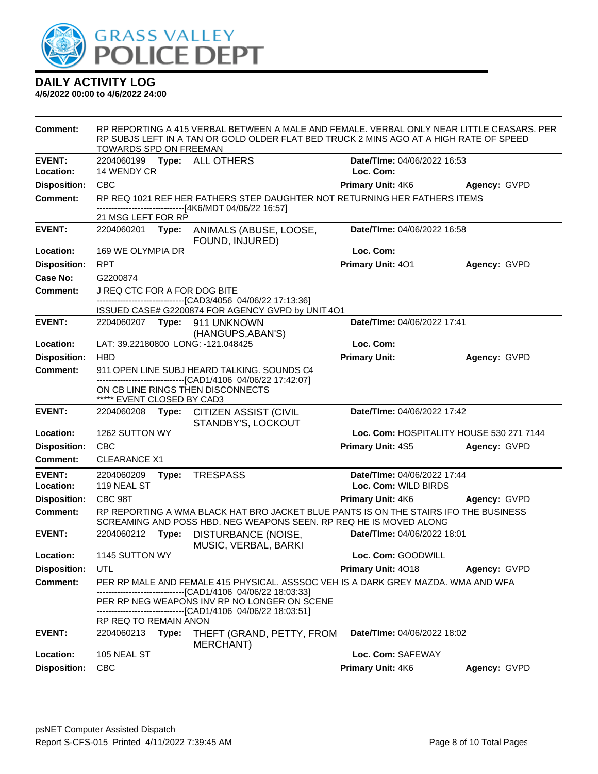

| <b>Comment:</b>     | TOWARDS SPD ON FREEMAN       |       | RP REPORTING A 415 VERBAL BETWEEN A MALE AND FEMALE. VERBAL ONLY NEAR LITTLE CEASARS. PER<br>RP SUBJS LEFT IN A TAN OR GOLD OLDER FLAT BED TRUCK 2 MINS AGO AT A HIGH RATE OF SPEED |                                          |              |
|---------------------|------------------------------|-------|-------------------------------------------------------------------------------------------------------------------------------------------------------------------------------------|------------------------------------------|--------------|
| <b>EVENT:</b>       |                              |       | 2204060199    Type: ALL OTHERS                                                                                                                                                      | Date/TIme: 04/06/2022 16:53              |              |
| Location:           | 14 WENDY CR                  |       |                                                                                                                                                                                     | Loc. Com:                                |              |
| <b>Disposition:</b> | <b>CBC</b>                   |       |                                                                                                                                                                                     | <b>Primary Unit: 4K6</b>                 | Agency: GVPD |
| <b>Comment:</b>     |                              |       | RP REQ 1021 REF HER FATHERS STEP DAUGHTER NOT RETURNING HER FATHERS ITEMS<br>-------------------------------[4K6/MDT 04/06/22 16:57]                                                |                                          |              |
|                     | 21 MSG LEFT FOR RP           |       |                                                                                                                                                                                     |                                          |              |
| <b>EVENT:</b>       | 2204060201                   | Type: | ANIMALS (ABUSE, LOOSE,<br>FOUND, INJURED)                                                                                                                                           | Date/TIme: 04/06/2022 16:58              |              |
| Location:           | 169 WE OLYMPIA DR            |       |                                                                                                                                                                                     | Loc. Com:                                |              |
| <b>Disposition:</b> | <b>RPT</b>                   |       |                                                                                                                                                                                     | Primary Unit: 401                        | Agency: GVPD |
| Case No:            | G2200874                     |       |                                                                                                                                                                                     |                                          |              |
| <b>Comment:</b>     | J REQ CTC FOR A FOR DOG BITE |       |                                                                                                                                                                                     |                                          |              |
|                     |                              |       | ------------------------------[CAD3/4056_04/06/22 17:13:36]                                                                                                                         |                                          |              |
|                     |                              |       | ISSUED CASE# G2200874 FOR AGENCY GVPD by UNIT 4O1                                                                                                                                   |                                          |              |
| <b>EVENT:</b>       |                              |       | 2204060207    Type: 911    UNKNOWN                                                                                                                                                  | Date/TIme: 04/06/2022 17:41              |              |
| Location:           |                              |       | (HANGUPS, ABAN'S)<br>LAT: 39.22180800 LONG: -121.048425                                                                                                                             | Loc. Com:                                |              |
| <b>Disposition:</b> | <b>HBD</b>                   |       |                                                                                                                                                                                     | <b>Primary Unit:</b>                     | Agency: GVPD |
| <b>Comment:</b>     |                              |       | 911 OPEN LINE SUBJ HEARD TALKING. SOUNDS C4                                                                                                                                         |                                          |              |
|                     |                              |       | ------------------------------[CAD1/4106 04/06/22 17:42:07]<br>ON CB LINE RINGS THEN DISCONNECTS                                                                                    |                                          |              |
|                     | ***** EVENT CLOSED BY CAD3   |       |                                                                                                                                                                                     |                                          |              |
| <b>EVENT:</b>       | 2204060208                   |       | Type: CITIZEN ASSIST (CIVIL<br>STANDBY'S, LOCKOUT                                                                                                                                   | Date/TIme: 04/06/2022 17:42              |              |
| Location:           | 1262 SUTTON WY               |       |                                                                                                                                                                                     | Loc. Com: HOSPITALITY HOUSE 530 271 7144 |              |
| <b>Disposition:</b> | <b>CBC</b>                   |       |                                                                                                                                                                                     | Primary Unit: 4S5                        | Agency: GVPD |
| <b>Comment:</b>     | <b>CLEARANCE X1</b>          |       |                                                                                                                                                                                     |                                          |              |
| <b>EVENT:</b>       | 2204060209                   | Type: | <b>TRESPASS</b>                                                                                                                                                                     | Date/TIme: 04/06/2022 17:44              |              |
| Location:           | 119 NEAL ST                  |       |                                                                                                                                                                                     | Loc. Com: WILD BIRDS                     |              |
| <b>Disposition:</b> | CBC 98T                      |       |                                                                                                                                                                                     | Primary Unit: 4K6                        | Agency: GVPD |
| <b>Comment:</b>     |                              |       | RP REPORTING A WMA BLACK HAT BRO JACKET BLUE PANTS IS ON THE STAIRS IFO THE BUSINESS<br>SCREAMING AND POSS HBD. NEG WEAPONS SEEN. RP REQ HE IS MOVED ALONG                          |                                          |              |
| <b>EVENT:</b>       | 2204060212                   | Type: | DISTURBANCE (NOISE,<br>MUSIC, VERBAL, BARKI                                                                                                                                         | Date/TIme: 04/06/2022 18:01              |              |
| <b>Location:</b>    | 1145 SUTTON WY               |       |                                                                                                                                                                                     | Loc. Com: GOODWILL                       |              |
| <b>Disposition:</b> | UTL                          |       |                                                                                                                                                                                     | Primary Unit: 4018                       | Agency: GVPD |
| <b>Comment:</b>     |                              |       | PER RP MALE AND FEMALE 415 PHYSICAL. ASSSOC VEH IS A DARK GREY MAZDA. WMA AND WFA                                                                                                   |                                          |              |
|                     |                              |       | -------------------------------[CAD1/4106 04/06/22 18:03:33]<br>PER RP NEG WEAPONS INV RP NO LONGER ON SCENE                                                                        |                                          |              |
|                     |                              |       | -------------------------------[CAD1/4106_04/06/22 18:03:51]                                                                                                                        |                                          |              |
|                     | RP REQ TO REMAIN ANON        |       |                                                                                                                                                                                     |                                          |              |
| <b>EVENT:</b>       | 2204060213                   | Type: | THEFT (GRAND, PETTY, FROM<br>MERCHANT)                                                                                                                                              | Date/TIme: 04/06/2022 18:02              |              |
| Location:           | 105 NEAL ST                  |       |                                                                                                                                                                                     | Loc. Com: SAFEWAY                        |              |
| <b>Disposition:</b> | <b>CBC</b>                   |       |                                                                                                                                                                                     | Primary Unit: 4K6                        | Agency: GVPD |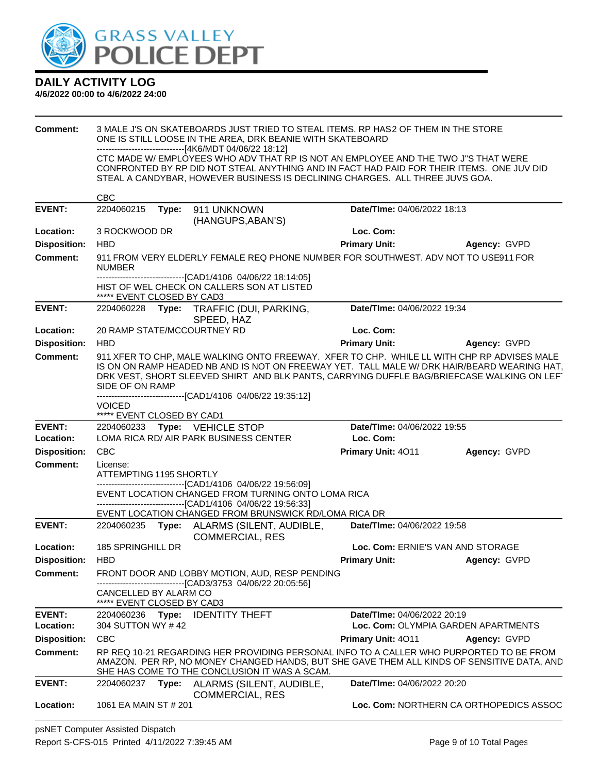

| <b>Comment:</b>                        | 3 MALE J'S ON SKATEBOARDS JUST TRIED TO STEAL ITEMS. RP HAS2 OF THEM IN THE STORE<br>ONE IS STILL LOOSE IN THE AREA, DRK BEANIE WITH SKATEBOARD<br>-------------------------------[4K6/MDT 04/06/22 18:12] |       |                                                                                                                                                                                                                                                                                         |                                   |                                     |
|----------------------------------------|------------------------------------------------------------------------------------------------------------------------------------------------------------------------------------------------------------|-------|-----------------------------------------------------------------------------------------------------------------------------------------------------------------------------------------------------------------------------------------------------------------------------------------|-----------------------------------|-------------------------------------|
|                                        |                                                                                                                                                                                                            |       | CTC MADE W/ EMPLOYEES WHO ADV THAT RP IS NOT AN EMPLOYEE AND THE TWO J"S THAT WERE<br>CONFRONTED BY RP DID NOT STEAL ANYTHING AND IN FACT HAD PAID FOR THEIR ITEMS. ONE JUV DID<br>STEAL A CANDYBAR, HOWEVER BUSINESS IS DECLINING CHARGES. ALL THREE JUVS GOA.                         |                                   |                                     |
|                                        | <b>CBC</b>                                                                                                                                                                                                 |       |                                                                                                                                                                                                                                                                                         |                                   |                                     |
| <b>EVENT:</b>                          | 2204060215                                                                                                                                                                                                 | Type: | 911 UNKNOWN<br>(HANGUPS, ABAN'S)                                                                                                                                                                                                                                                        | Date/TIme: 04/06/2022 18:13       |                                     |
| Location:                              | 3 ROCKWOOD DR                                                                                                                                                                                              |       |                                                                                                                                                                                                                                                                                         | Loc. Com:                         |                                     |
| <b>Disposition:</b>                    | <b>HBD</b>                                                                                                                                                                                                 |       |                                                                                                                                                                                                                                                                                         | <b>Primary Unit:</b>              | Agency: GVPD                        |
| Comment:                               | <b>NUMBER</b>                                                                                                                                                                                              |       | 911 FROM VERY ELDERLY FEMALE REQ PHONE NUMBER FOR SOUTHWEST. ADV NOT TO USE911 FOR                                                                                                                                                                                                      |                                   |                                     |
|                                        | ***** EVENT CLOSED BY CAD3                                                                                                                                                                                 |       | -------------------------------[CAD1/4106 04/06/22 18:14:05]<br>HIST OF WEL CHECK ON CALLERS SON AT LISTED                                                                                                                                                                              |                                   |                                     |
| <b>EVENT:</b>                          |                                                                                                                                                                                                            |       | 2204060228 Type: TRAFFIC (DUI, PARKING,<br>SPEED, HAZ                                                                                                                                                                                                                                   | Date/TIme: 04/06/2022 19:34       |                                     |
| Location:                              |                                                                                                                                                                                                            |       | 20 RAMP STATE/MCCOURTNEY RD                                                                                                                                                                                                                                                             | Loc. Com:                         |                                     |
| <b>Disposition:</b>                    | <b>HBD</b>                                                                                                                                                                                                 |       |                                                                                                                                                                                                                                                                                         | <b>Primary Unit:</b>              | Agency: GVPD                        |
| <b>Comment:</b>                        | SIDE OF ON RAMP                                                                                                                                                                                            |       | 911 XFER TO CHP, MALE WALKING ONTO FREEWAY. XFER TO CHP. WHILE LL WITH CHP RP ADVISES MALE<br>IS ON ON RAMP HEADED NB AND IS NOT ON FREEWAY YET. TALL MALE W/ DRK HAIR/BEARD WEARING HAT.<br>DRK VEST, SHORT SLEEVED SHIRT AND BLK PANTS, CARRYING DUFFLE BAG/BRIEFCASE WALKING ON LEFT |                                   |                                     |
|                                        | <b>VOICED</b><br>***** EVENT CLOSED BY CAD1                                                                                                                                                                |       | ------------------------[CAD1/4106_04/06/22 19:35:12]                                                                                                                                                                                                                                   |                                   |                                     |
|                                        |                                                                                                                                                                                                            |       |                                                                                                                                                                                                                                                                                         |                                   |                                     |
| <b>EVENT:</b>                          |                                                                                                                                                                                                            |       | 2204060233 Type: VEHICLE STOP                                                                                                                                                                                                                                                           | Date/TIme: 04/06/2022 19:55       |                                     |
| Location:                              |                                                                                                                                                                                                            |       | LOMA RICA RD/ AIR PARK BUSINESS CENTER                                                                                                                                                                                                                                                  | Loc. Com:                         |                                     |
| <b>Disposition:</b>                    | <b>CBC</b>                                                                                                                                                                                                 |       |                                                                                                                                                                                                                                                                                         | Primary Unit: 4011                | Agency: GVPD                        |
| <b>Comment:</b>                        | License:<br>ATTEMPTING 1195 SHORTLY                                                                                                                                                                        |       |                                                                                                                                                                                                                                                                                         |                                   |                                     |
|                                        |                                                                                                                                                                                                            |       | -------------------------------[CAD1/4106 04/06/22 19:56:09]<br>EVENT LOCATION CHANGED FROM TURNING ONTO LOMA RICA<br>---------------------------------[CAD1/4106 04/06/22 19:56:33]                                                                                                    |                                   |                                     |
|                                        |                                                                                                                                                                                                            |       | EVENT LOCATION CHANGED FROM BRUNSWICK RD/LOMA RICA DR                                                                                                                                                                                                                                   |                                   |                                     |
| <b>EVENT:</b>                          |                                                                                                                                                                                                            |       | 2204060235 Type: ALARMS (SILENT, AUDIBLE,<br><b>COMMERCIAL, RES</b>                                                                                                                                                                                                                     | Date/TIme: 04/06/2022 19:58       |                                     |
| Location:                              | 185 SPRINGHILL DR                                                                                                                                                                                          |       |                                                                                                                                                                                                                                                                                         | Loc. Com: ERNIE'S VAN AND STORAGE |                                     |
| <b>Disposition:</b><br><b>Comment:</b> | HBD                                                                                                                                                                                                        |       | FRONT DOOR AND LOBBY MOTION, AUD, RESP PENDING                                                                                                                                                                                                                                          | <b>Primary Unit:</b> Agency: GVPD |                                     |
|                                        | CANCELLED BY ALARM CO<br>***** EVENT CLOSED BY CAD3                                                                                                                                                        |       | -------------------------------[CAD3/3753 04/06/22 20:05:56]                                                                                                                                                                                                                            |                                   |                                     |
| <b>EVENT:</b>                          |                                                                                                                                                                                                            |       | 2204060236 Type: IDENTITY THEFT                                                                                                                                                                                                                                                         | Date/TIme: 04/06/2022 20:19       |                                     |
| Location:                              | 304 SUTTON WY #42                                                                                                                                                                                          |       |                                                                                                                                                                                                                                                                                         |                                   | Loc. Com: OLYMPIA GARDEN APARTMENTS |
| <b>Disposition:</b>                    | <b>CBC</b>                                                                                                                                                                                                 |       |                                                                                                                                                                                                                                                                                         | Primary Unit: 4011                | Agency: GVPD                        |
| <b>Comment:</b>                        |                                                                                                                                                                                                            |       | RP REQ 10-21 REGARDING HER PROVIDING PERSONAL INFO TO A CALLER WHO PURPORTED TO BE FROM<br>AMAZON. PER RP, NO MONEY CHANGED HANDS, BUT SHE GAVE THEM ALL KINDS OF SENSITIVE DATA, AND                                                                                                   |                                   |                                     |
| <b>EVENT:</b>                          |                                                                                                                                                                                                            |       | SHE HAS COME TO THE CONCLUSION IT WAS A SCAM.<br>2204060237 Type: ALARMS (SILENT, AUDIBLE,<br><b>COMMERCIAL, RES</b>                                                                                                                                                                    | Date/TIme: 04/06/2022 20:20       |                                     |